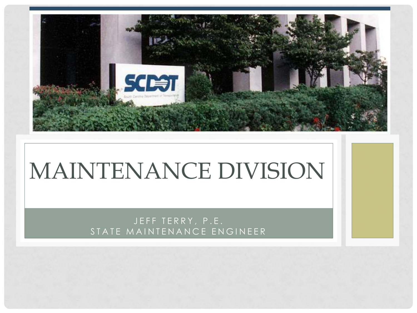

# MAINTENANCE DIVISION

JEFF TERRY, P.E. STATE MAINTENANCE ENGINEER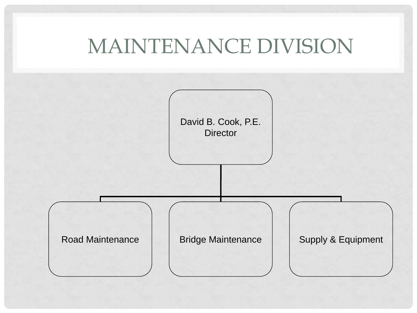#### MAINTENANCE DIVISION

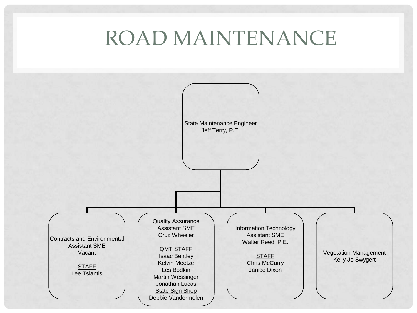#### ROAD MAINTENANCE

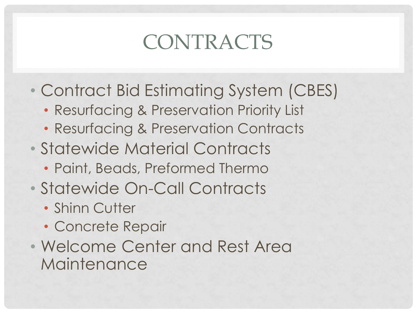### CONTRACTS

- Contract Bid Estimating System (CBES)
	- Resurfacing & Preservation Priority List
	- Resurfacing & Preservation Contracts
- Statewide Material Contracts
	- Paint, Beads, Preformed Thermo
- Statewide On-Call Contracts
	- Shinn Cutter
	- Concrete Repair
- Welcome Center and Rest Area **Maintenance**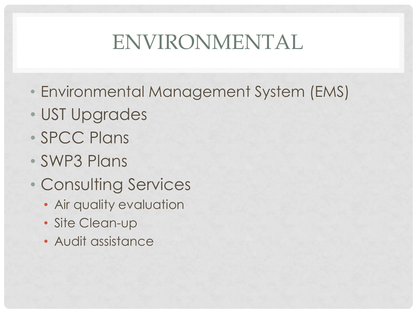## ENVIRONMENTAL

- Environmental Management System (EMS)
- UST Upgrades
- SPCC Plans
- SWP3 Plans
- Consulting Services
	- Air quality evaluation
	- Site Clean-up
	- Audit assistance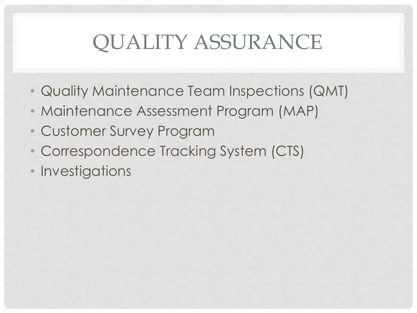## QUALITY ASSURANCE

- Quality Maintenance Team Inspections (QMT)
- Maintenance Assessment Program (MAP)
- Customer Survey Program
- Correspondence Tracking System (CTS)
- Investigations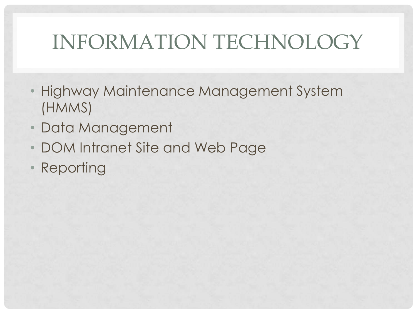# INFORMATION TECHNOLOGY

- Highway Maintenance Management System (HMMS)
- Data Management
- DOM Intranet Site and Web Page
- Reporting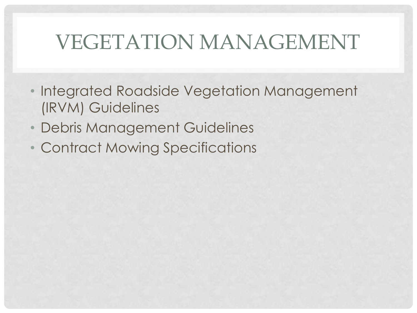#### VEGETATION MANAGEMENT

- Integrated Roadside Vegetation Management (IRVM) Guidelines
- Debris Management Guidelines
- Contract Mowing Specifications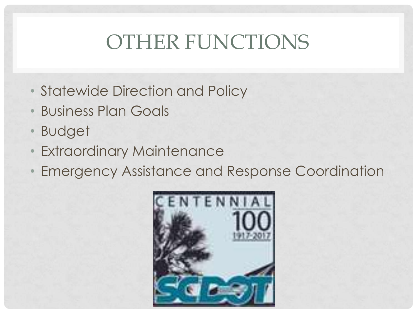# OTHER FUNCTIONS

- Statewide Direction and Policy
- Business Plan Goals
- Budget
- Extraordinary Maintenance
- Emergency Assistance and Response Coordination

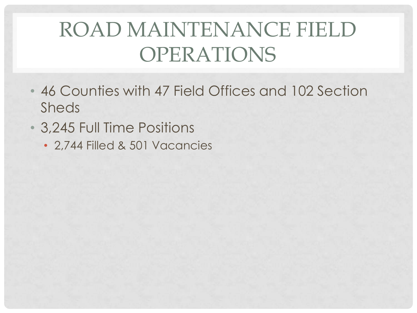# ROAD MAINTENANCE FIELD OPERATIONS

- 46 Counties with 47 Field Offices and 102 Section Sheds
- 3,245 Full Time Positions
	- 2,744 Filled & 501 Vacancies